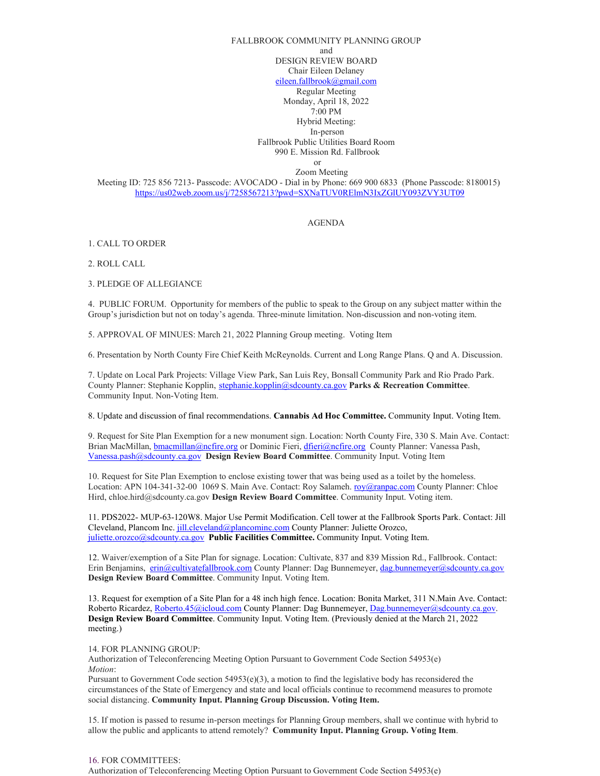## FALLBROOK COMMUNITY PLANNING GROUP and DESIGN REVIEW BOARD Chair Eileen Delaney [eileen.fallbrook@gmail.com](mailto:eileen.fallbrook@gmail.com)

Regular Meeting Monday, April 18, 2022 7:00 PM Hybrid Meeting: In-person Fallbrook Public Utilities Board Room 990 E. Mission Rd. Fallbrook or

Zoom Meeting

Meeting ID: 725 856 7213- Passcode: AVOCADO - Dial in by Phone: 669 900 6833 (Phone Passcode: 8180015) <https://us02web.zoom.us/j/7258567213?pwd=SXNaTUV0RElmN3IxZGlUY093ZVY3UT09>

## AGENDA

1. CALL TO ORDER

2. ROLL CALL

3. PLEDGE OF ALLEGIANCE

4. PUBLIC FORUM. Opportunity for members of the public to speak to the Group on any subject matter within the Group's jurisdiction but not on today's agenda. Three-minute limitation. Non-discussion and non-voting item.

5. APPROVAL OF MINUES: March 21, 2022 Planning Group meeting. Voting Item

6. Presentation by North County Fire Chief Keith McReynolds. Current and Long Range Plans. Q and A. Discussion.

7. Update on Local Park Projects: Village View Park, San Luis Rey, Bonsall Community Park and Rio Prado Park. County Planner: Stephanie Kopplin, [stephanie.kopplin@sdcounty.ca.gov](mailto:stephanie.kopplin@sdcounty.ca.gov) **Parks & Recreation Committee**. Community Input. Non-Voting Item.

8. Update and discussion of final recommendations. **Cannabis Ad Hoc Committee.** Community Input. Voting Item.

9. Request for Site Plan Exemption for a new monument sign. Location: North County Fire, 330 S. Main Ave. Contact: Brian MacMillan, **bmacmillan@ncfire.org or Dominic Fieri, [dfieri@ncfire.org](mailto:dfieri@ncfire.org)** County Planner: Vanessa Pash, [Vanessa.pash@sdcounty.ca.gov](mailto:Vanessa.pash@sdcounty.ca.gov) **Design Review Board Committee**. Community Input. Voting Item

10. Request for Site Plan Exemption to enclose existing tower that was being used as a toilet by the homeless. Location: APN 104-341-32-00 1069 S. Main Ave. Contact: Roy Salameh[. roy@ranpac.com](mailto:roy@ranpac.com) County Planner: Chloe Hird, chloe.hird@sdcounty.ca.gov **Design Review Board Committee**. Community Input. Voting item.

11. PDS2022- MUP-63-120W8. Major Use Permit Modification. Cell tower at the Fallbrook Sports Park. Contact: Jill Cleveland, Plancom Inc[. jill.cleveland@plancominc.com](mailto:jill.cleveland@plancominc.com) County Planner: Juliette Orozco, [juliette.orozco@sdcounty.ca.gov](mailto:juliette.orozco@sdcounty.ca.gov) **Public Facilities Committee.** Community Input. Voting Item.

12. Waiver/exemption of a Site Plan for signage. Location: Cultivate, 837 and 839 Mission Rd., Fallbrook. Contact: Erin Benjamins, [erin@cultivatefallbrook.com](mailto:erin@cultivatefallbrook.com) County Planner: Dag Bunnemeyer, [dag.bunnemeyer@sdcounty.ca.gov](mailto:dag.bunnemeyer@sdcounty.ca.gov) **Design Review Board Committee**. Community Input. Voting Item.

13. Request for exemption of a Site Plan for a 48 inch high fence. Location: Bonita Market, 311 N.Main Ave. Contact: Roberto Ricardez[, Roberto.45@icloud.com](mailto:Roberto.45@icloud.com) County Planner: Dag Bunnemeyer[, Dag.bunnemeyer@sdcounty.ca.gov.](mailto:Dag.bunnemeyer@sdcounty.ca.gov) **Design Review Board Committee**. Community Input. Voting Item. (Previously denied at the March 21, 2022 meeting.)

14. FOR PLANNING GROUP:

Authorization of Teleconferencing Meeting Option Pursuant to Government Code Section 54953(e) *Motion*:

Pursuant to Government Code section 54953(e)(3), a motion to find the legislative body has reconsidered the circumstances of the State of Emergency and state and local officials continue to recommend measures to promote social distancing. **Community Input. Planning Group Discussion. Voting Item.** 

15. If motion is passed to resume in-person meetings for Planning Group members, shall we continue with hybrid to allow the public and applicants to attend remotely? **Community Input. Planning Group. Voting Item**.

## 16. FOR COMMITTEES:

Authorization of Teleconferencing Meeting Option Pursuant to Government Code Section 54953(e)